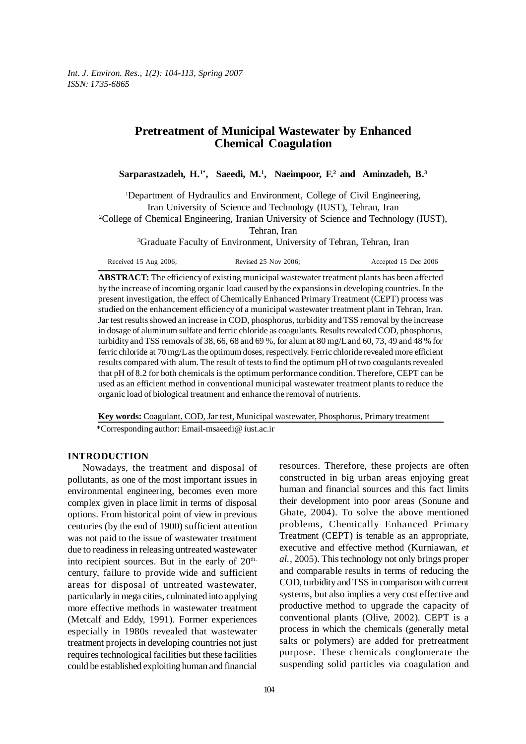*Int. J. Environ. Res., 1(2): 104-113, Spring 2007 ISSN: 1735-6865*

# **Pretreatment of Municipal Wastewater by Enhanced Chemical Coagulation**

Sarparastzadeh, H.<sup>1\*</sup>, Saeedi, M.<sup>1</sup>, Naeimpoor, F.<sup>2</sup> and Aminzadeh, B.<sup>3</sup>

1 Department of Hydraulics and Environment, College of Civil Engineering, Iran University of Science and Technology (IUST), Tehran, Iran 2 College of Chemical Engineering, Iranian University of Science and Technology (IUST), Tehran, Iran <sup>3</sup>Graduate Faculty of Environment, University of Tehran, Tehran, Iran

Received 15 Aug 2006; Revised 25 Nov 2006; Accepted 15 Dec 2006

**ABSTRACT:** The efficiency of existing municipal wastewater treatment plants has been affected by the increase of incoming organic load caused by the expansions in developing countries. In the present investigation, the effect of Chemically Enhanced Primary Treatment (CEPT) process was studied on the enhancement efficiency of a municipal wastewater treatment plant in Tehran, Iran. Jar test results showed an increase in COD, phosphorus, turbidity and TSS removal by the increase in dosage of aluminum sulfate and ferric chloride as coagulants. Results revealed COD, phosphorus, turbidity and TSS removals of 38, 66, 68 and 69 %, for alum at 80 mg/L and 60, 73, 49 and 48 % for ferric chloride at 70 mg/L as the optimum doses, respectively. Ferric chloride revealed more efficient results compared with alum. The result of tests to find the optimum pH of two coagulants revealed that pH of 8.2 for both chemicals is the optimum performance condition. Therefore, CEPT can be used as an efficient method in conventional municipal wastewater treatment plants to reduce the organic load of biological treatment and enhance the removal of nutrients.

**Key words:** Coagulant, COD, Jar test, Municipal wastewater, Phosphorus, Primary treatment

\*Corresponding author: Email-msaeedi@ iust.ac.ir

## **INTRODUCTION**

Nowadays, the treatment and disposal of pollutants, as one of the most important issues in environmental engineering, becomes even more complex given in place limit in terms of disposal options. From historical point of view in previous centuries (by the end of 1900) sufficient attention was not paid to the issue of wastewater treatment due to readiness in releasing untreated wastewater into recipient sources. But in the early of 20<sup>th.</sup> century, failure to provide wide and sufficient areas for disposal of untreated wastewater, particularly in mega cities, culminated into applying more effective methods in wastewater treatment (Metcalf and Eddy, 1991). Former experiences especially in 1980s revealed that wastewater treatment projects in developing countries not just requires technological facilities but these facilities could be established exploiting human and financial

resources. Therefore, these projects are often constructed in big urban areas enjoying great human and financial sources and this fact limits their development into poor areas (Sonune and Ghate, 2004). To solve the above mentioned problems, Chemically Enhanced Primary Treatment (CEPT) is tenable as an appropriate, executive and effective method (Kurniawan, *et al.,* 2005). This technology not only brings proper and comparable results in terms of reducing the COD, turbidity and TSS in comparison with current systems, but also implies a very cost effective and productive method to upgrade the capacity of conventional plants (Olive, 2002). CEPT is a process in which the chemicals (generally metal salts or polymers) are added for pretreatment purpose. These chemicals conglomerate the suspending solid particles via coagulation and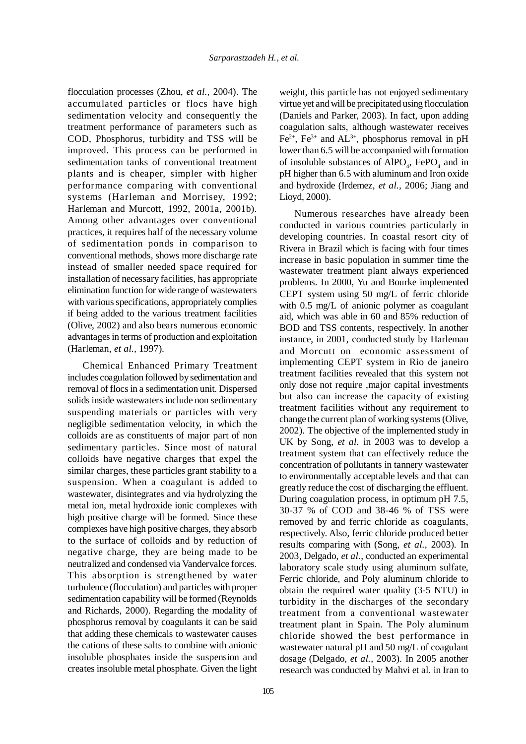flocculation processes (Zhou, *et al.,* 2004). The accumulated particles or flocs have high sedimentation velocity and consequently the treatment performance of parameters such as COD, Phosphorus, turbidity and TSS will be improved. This process can be performed in sedimentation tanks of conventional treatment plants and is cheaper, simpler with higher performance comparing with conventional systems (Harleman and Morrisey, 1992; Harleman and Murcott, 1992, 2001a, 2001b). Among other advantages over conventional practices, it requires half of the necessary volume of sedimentation ponds in comparison to conventional methods, shows more discharge rate instead of smaller needed space required for installation of necessary facilities, has appropriate elimination function for wide range of wastewaters with various specifications, appropriately complies if being added to the various treatment facilities (Olive, 2002) and also bears numerous economic advantages in terms of production and exploitation (Harleman, *et al.,* 1997).

Chemical Enhanced Primary Treatment includes coagulation followed by sedimentation and removal of flocs in a sedimentation unit. Dispersed solids inside wastewaters include non sedimentary suspending materials or particles with very negligible sedimentation velocity, in which the colloids are as constituents of major part of non sedimentary particles. Since most of natural colloids have negative charges that expel the similar charges, these particles grant stability to a suspension. When a coagulant is added to wastewater, disintegrates and via hydrolyzing the metal ion, metal hydroxide ionic complexes with high positive charge will be formed. Since these complexes have high positive charges, they absorb to the surface of colloids and by reduction of negative charge, they are being made to be neutralized and condensed via Vandervalce forces. This absorption is strengthened by water turbulence (flocculation) and particles with proper sedimentation capability will be formed (Reynolds and Richards, 2000). Regarding the modality of phosphorus removal by coagulants it can be said that adding these chemicals to wastewater causes the cations of these salts to combine with anionic insoluble phosphates inside the suspension and creates insoluble metal phosphate. Given the light

weight, this particle has not enjoyed sedimentary virtue yet and will be precipitated using flocculation (Daniels and Parker, 2003). In fact, upon adding coagulation salts, although wastewater receives  $Fe<sup>2+</sup>$ ,  $Fe<sup>3+</sup>$  and  $AL<sup>3+</sup>$ , phosphorus removal in pH lower than 6.5 will be accompanied with formation of insoluble substances of  $A \nI\nP O<sub>4</sub>$ , FePO<sub>4</sub> and in pH higher than 6.5 with aluminum and Iron oxide and hydroxide (Irdemez, *et al.,* 2006; Jiang and Lioyd, 2000).

Numerous researches have already been conducted in various countries particularly in developing countries. In coastal resort city of Rivera in Brazil which is facing with four times increase in basic population in summer time the wastewater treatment plant always experienced problems. In 2000, Yu and Bourke implemented CEPT system using 50 mg/L of ferric chloride with 0.5 mg/L of anionic polymer as coagulant aid, which was able in 60 and 85% reduction of BOD and TSS contents, respectively. In another instance, in 2001, conducted study by Harleman and Morcutt on economic assessment of implementing CEPT system in Rio de janeiro treatment facilities revealed that this system not only dose not require ,major capital investments but also can increase the capacity of existing treatment facilities without any requirement to change the current plan of working systems (Olive, 2002). The objective of the implemented study in UK by Song, *et al.* in 2003 was to develop a treatment system that can effectively reduce the concentration of pollutants in tannery wastewater to environmentally acceptable levels and that can greatly reduce the cost of discharging the effluent. During coagulation process, in optimum pH 7.5, 30-37 % of COD and 38-46 % of TSS were removed by and ferric chloride as coagulants, respectively. Also, ferric chloride produced better results comparing with (Song, *et al.,* 2003). In 2003, Delgado, *et al.,* conducted an experimental laboratory scale study using aluminum sulfate, Ferric chloride, and Poly aluminum chloride to obtain the required water quality (3-5 NTU) in turbidity in the discharges of the secondary treatment from a conventional wastewater treatment plant in Spain. The Poly aluminum chloride showed the best performance in wastewater natural pH and 50 mg/L of coagulant dosage (Delgado, *et al.,* 2003). In 2005 another research was conducted by Mahvi et al. in Iran to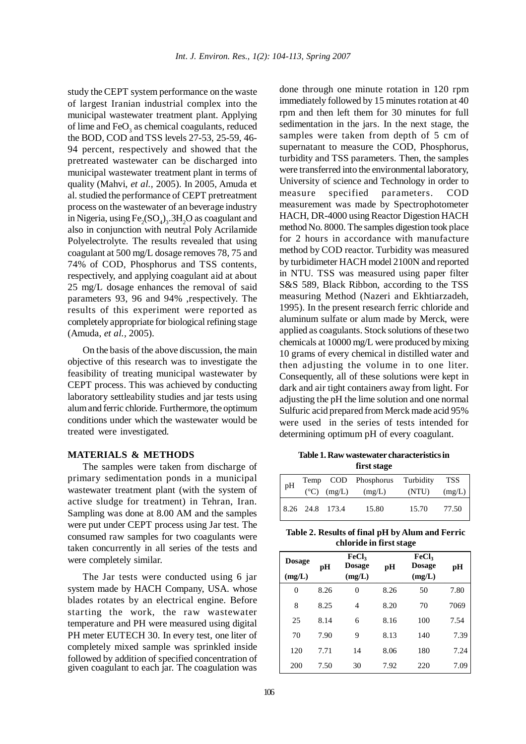study the CEPT system performance on the waste of largest Iranian industrial complex into the municipal wastewater treatment plant. Applying of lime and  $\text{FeO}_3$  as chemical coagulants, reduced the BOD, COD and TSS levels 27-53, 25-59, 46- 94 percent, respectively and showed that the pretreated wastewater can be discharged into municipal wastewater treatment plant in terms of quality (Mahvi, *et al.,* 2005). In 2005, Amuda et al. studied the performance of CEPT pretreatment process on the wastewater of an beverage industry in Nigeria, using  $\text{Fe}_2(\text{SO}_4)_3$ .3H<sub>2</sub>O as coagulant and also in conjunction with neutral Poly Acrilamide Polyelectrolyte. The results revealed that using coagulant at 500 mg/L dosage removes 78, 75 and 74% of COD, Phosphorus and TSS contents, respectively, and applying coagulant aid at about 25 mg/L dosage enhances the removal of said parameters 93, 96 and 94% ,respectively. The results of this experiment were reported as completely appropriate for biological refining stage (Amuda, *et al.,* 2005).

On the basis of the above discussion, the main objective of this research was to investigate the feasibility of treating municipal wastewater by CEPT process. This was achieved by conducting laboratory settleability studies and jar tests using alum and ferric chloride. Furthermore, the optimum conditions under which the wastewater would be treated were investigated.

## **MATERIALS & METHODS**

The samples were taken from discharge of primary sedimentation ponds in a municipal wastewater treatment plant (with the system of active sludge for treatment) in Tehran, Iran. Sampling was done at 8.00 AM and the samples were put under CEPT process using Jar test. The consumed raw samples for two coagulants were taken concurrently in all series of the tests and were completely similar.

The Jar tests were conducted using 6 jar system made by HACH Company, USA. whose blades rotates by an electrical engine. Before starting the work, the raw wastewater temperature and PH were measured using digital PH meter EUTECH 30. In every test, one liter of completely mixed sample was sprinkled inside followed by addition of specified concentration of given coagulant to each jar. The coagulation was

done through one minute rotation in 120 rpm immediately followed by 15 minutes rotation at 40 rpm and then left them for 30 minutes for full sedimentation in the jars. In the next stage, the samples were taken from depth of 5 cm of supernatant to measure the COD, Phosphorus, turbidity and TSS parameters. Then, the samples were transferred into the environmental laboratory, University of science and Technology in order to measure specified parameters. COD measurement was made by Spectrophotometer HACH, DR-4000 using Reactor Digestion HACH method No. 8000. The samples digestion took place for 2 hours in accordance with manufacture method by COD reactor. Turbidity was measured by turbidimeter HACH model 2100N and reported in NTU. TSS was measured using paper filter S&S 589, Black Ribbon, according to the TSS measuring Method (Nazeri and Ekhtiarzadeh, 1995). In the present research ferric chloride and aluminum sulfate or alum made by Merck, were applied as coagulants. Stock solutions of these two chemicals at 10000 mg/L were produced by mixing 10 grams of every chemical in distilled water and then adjusting the volume in to one liter. Consequently, all of these solutions were kept in dark and air tight containers away from light. For adjusting the pH the lime solution and one normal Sulfuric acid prepared from Merck made acid 95% were used in the series of tests intended for determining optimum pH of every coagulant.

**Table 1. Raw wastewater characteristics in first stage**

| pH |                 | Temp COD Phosphorus Turbidity |       | TSS    |
|----|-----------------|-------------------------------|-------|--------|
|    |                 | $(^{\circ}C)$ (mg/L) (mg/L)   | (NTU) | (mg/L) |
|    | 8.26 24.8 173.4 | 15.80                         | 15.70 | 77.50  |

**Table 2. Results of final pH by Alum and Ferric chloride in first stage**

| <b>Dosage</b><br>(mg/L) | pH   | <b>FeCl</b><br><b>Dosage</b><br>(mg/L) | pH   | <b>FeCl</b><br><b>Dosage</b><br>(mg/L) | pН   |
|-------------------------|------|----------------------------------------|------|----------------------------------------|------|
| 0                       | 8.26 | 0                                      | 8.26 | 50                                     | 7.80 |
| 8                       | 8.25 | 4                                      | 8.20 | 70                                     | 7069 |
| 25                      | 8.14 | 6                                      | 8.16 | 100                                    | 7.54 |
| 70                      | 7.90 | 9                                      | 8.13 | 140                                    | 7.39 |
| 120                     | 7.71 | 14                                     | 8.06 | 180                                    | 7.24 |
| 200                     | 7.50 | 30                                     | 7.92 | 220                                    | 7.09 |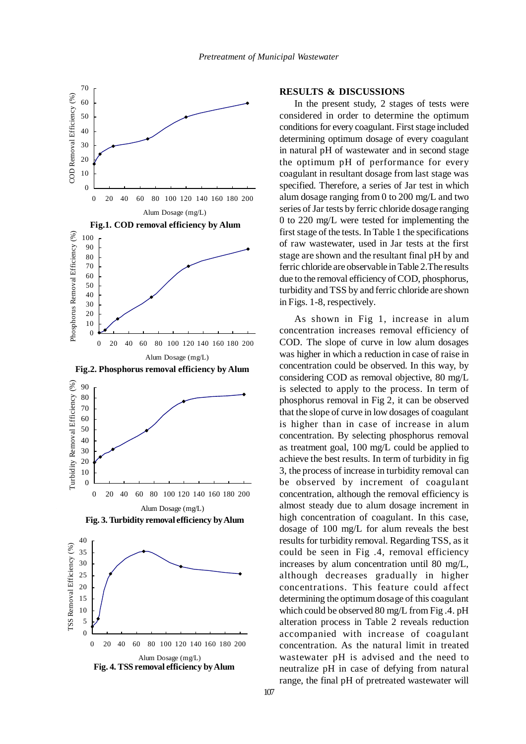

## **RESULTS & DISCUSSIONS**

In the present study, 2 stages of tests were considered in order to determine the optimum conditions for every coagulant. First stage included determining optimum dosage of every coagulant in natural pH of wastewater and in second stage the optimum pH of performance for every coagulant in resultant dosage from last stage was specified. Therefore, a series of Jar test in which alum dosage ranging from 0 to 200 mg/L and two series of Jar tests by ferric chloride dosage ranging 0 to 220 mg/L were tested for implementing the first stage of the tests. In Table 1 the specifications of raw wastewater, used in Jar tests at the first stage are shown and the resultant final pH by and ferric chloride are observable in Table 2.The results due to the removal efficiency of COD, phosphorus, turbidity and TSS by and ferric chloride are shown in Figs. 1-8, respectively.

As shown in Fig 1, increase in alum concentration increases removal efficiency of COD. The slope of curve in low alum dosages was higher in which a reduction in case of raise in concentration could be observed. In this way, by considering COD as removal objective, 80 mg/L is selected to apply to the process. In term of phosphorus removal in Fig 2, it can be observed that the slope of curve in low dosages of coagulant is higher than in case of increase in alum concentration. By selecting phosphorus removal as treatment goal, 100 mg/L could be applied to achieve the best results. In term of turbidity in fig 3, the process of increase in turbidity removal can be observed by increment of coagulant concentration, although the removal efficiency is almost steady due to alum dosage increment in high concentration of coagulant. In this case, dosage of 100 mg/L for alum reveals the best results for turbidity removal. Regarding TSS, as it could be seen in Fig .4, removal efficiency increases by alum concentration until 80 mg/L, although decreases gradually in higher concentrations. This feature could affect determining the optimum dosage of this coagulant which could be observed 80 mg/L from Fig .4. pH alteration process in Table 2 reveals reduction accompanied with increase of coagulant concentration. As the natural limit in treated wastewater pH is advised and the need to neutralize pH in case of defying from natural range, the final pH of pretreated wastewater will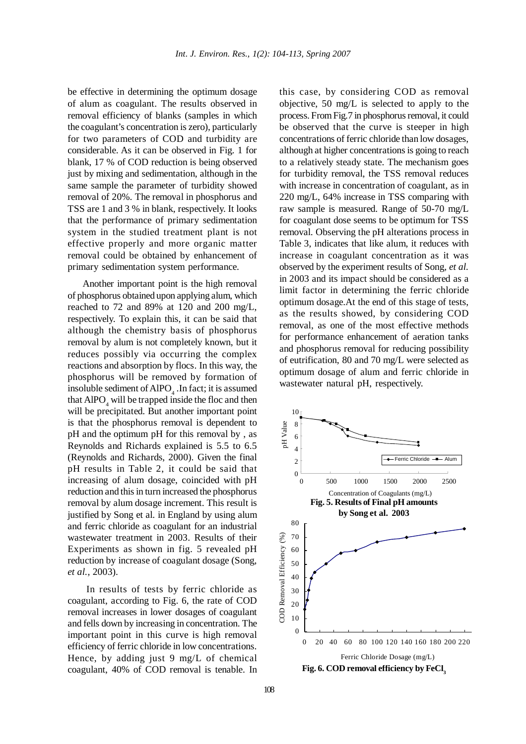be effective in determining the optimum dosage of alum as coagulant. The results observed in removal efficiency of blanks (samples in which the coagulant's concentration is zero), particularly for two parameters of COD and turbidity are considerable. As it can be observed in Fig. 1 for blank, 17 % of COD reduction is being observed just by mixing and sedimentation, although in the same sample the parameter of turbidity showed removal of 20%. The removal in phosphorus and TSS are 1 and 3 % in blank, respectively. It looks that the performance of primary sedimentation system in the studied treatment plant is not effective properly and more organic matter removal could be obtained by enhancement of primary sedimentation system performance.

Another important point is the high removal of phosphorus obtained upon applying alum, which reached to 72 and 89% at 120 and 200 mg/L, respectively. To explain this, it can be said that although the chemistry basis of phosphorus removal by alum is not completely known, but it reduces possibly via occurring the complex reactions and absorption by flocs. In this way, the phosphorus will be removed by formation of insoluble sediment of  $\mathrm{AIPO}_4$  . In fact; it is assumed that  $A$ l $\text{PO}_4$  will be trapped inside the floc and then will be precipitated. But another important point is that the phosphorus removal is dependent to pH and the optimum pH for this removal by , as Reynolds and Richards explained is 5.5 to 6.5 (Reynolds and Richards, 2000). Given the final pH results in Table 2, it could be said that increasing of alum dosage, coincided with pH reduction and this in turn increased the phosphorus removal by alum dosage increment. This result is justified by Song et al. in England by using alum and ferric chloride as coagulant for an industrial wastewater treatment in 2003. Results of their Experiments as shown in fig. 5 revealed pH reduction by increase of coagulant dosage (Song, *et al.,* 2003).

In results of tests by ferric chloride as coagulant, according to Fig. 6, the rate of COD removal increases in lower dosages of coagulant and fells down by increasing in concentration. The important point in this curve is high removal efficiency of ferric chloride in low concentrations. Hence, by adding just 9 mg/L of chemical coagulant, 40% of COD removal is tenable. In this case, by considering COD as removal objective, 50 mg/L is selected to apply to the process. From Fig.7 in phosphorus removal, it could be observed that the curve is steeper in high concentrations of ferric chloride than low dosages, although at higher concentrations is going to reach to a relatively steady state. The mechanism goes for turbidity removal, the TSS removal reduces with increase in concentration of coagulant, as in 220 mg/L, 64% increase in TSS comparing with raw sample is measured. Range of 50-70 mg/L for coagulant dose seems to be optimum for TSS removal. Observing the pH alterations process in Table 3, indicates that like alum, it reduces with increase in coagulant concentration as it was observed by the experiment results of Song, *et al.* in 2003 and its impact should be considered as a limit factor in determining the ferric chloride optimum dosage.At the end of this stage of tests, as the results showed, by considering COD removal, as one of the most effective methods for performance enhancement of aeration tanks and phosphorus removal for reducing possibility of eutrification, 80 and 70 mg/L were selected as optimum dosage of alum and ferric chloride in wastewater natural pH, respectively.

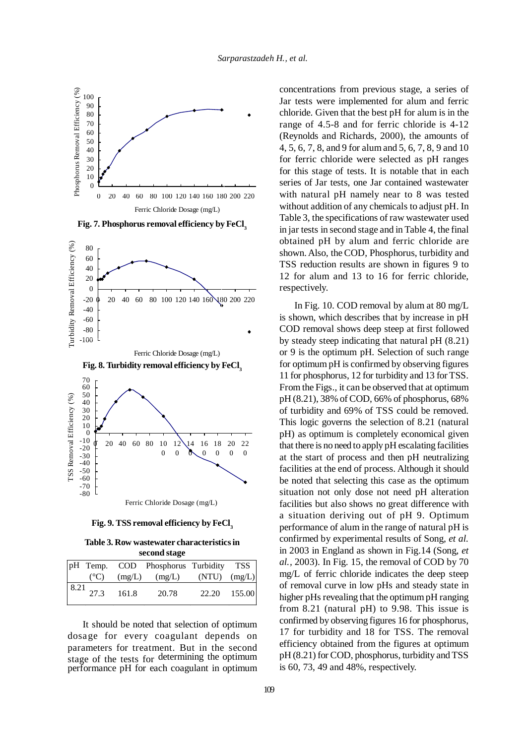

Fig. 7. Phosphorus removal efficiency by FeCl<sub>2</sub>



Fig. 9. TSS removal efficiency by FeCl<sub>2</sub>

**Table 3. Row wastewater characteristics in second stage**

|  |                                                               | pH Temp. COD Phosphorus Turbidity TSS      |              |  |
|--|---------------------------------------------------------------|--------------------------------------------|--------------|--|
|  |                                                               | $({}^{\circ}C)$ (mg/L) (mg/L) (NTU) (mg/L) |              |  |
|  | $\begin{array}{ l l } \hline 8.21 & 27.3 & 161.8 \end{array}$ | 20.78                                      | 22.20 155.00 |  |

It should be noted that selection of optimum dosage for every coagulant depends on parameters for treatment. But in the second stage of the tests for determining the optimum performance pH for each coagulant in optimum concentrations from previous stage, a series of Jar tests were implemented for alum and ferric chloride. Given that the best pH for alum is in the range of 4.5-8 and for ferric chloride is 4-12 (Reynolds and Richards, 2000), the amounts of 4, 5, 6, 7, 8, and 9 for alum and 5, 6, 7, 8, 9 and 10 for ferric chloride were selected as pH ranges for this stage of tests. It is notable that in each series of Jar tests, one Jar contained wastewater with natural pH namely near to 8 was tested without addition of any chemicals to adjust pH. In Table 3, the specifications of raw wastewater used in jar tests in second stage and in Table 4, the final obtained pH by alum and ferric chloride are shown. Also, the COD, Phosphorus, turbidity and TSS reduction results are shown in figures 9 to 12 for alum and 13 to 16 for ferric chloride, respectively.

In Fig. 10. COD removal by alum at 80 mg/L is shown, which describes that by increase in pH COD removal shows deep steep at first followed by steady steep indicating that natural pH (8.21) or 9 is the optimum pH. Selection of such range for optimum pH is confirmed by observing figures 11 for phosphorus, 12 for turbidity and 13 for TSS. From the Figs., it can be observed that at optimum pH (8.21), 38% of COD, 66% of phosphorus, 68% of turbidity and 69% of TSS could be removed. This logic governs the selection of 8.21 (natural pH) as optimum is completely economical given that there is no need to apply pH escalating facilities at the start of process and then pH neutralizing facilities at the end of process. Although it should be noted that selecting this case as the optimum situation not only dose not need pH alteration facilities but also shows no great difference with a situation deriving out of pH 9. Optimum performance of alum in the range of natural pH is confirmed by experimental results of Song, *et al.* in 2003 in England as shown in Fig.14 (Song, *et al.,* 2003). In Fig. 15, the removal of COD by 70 mg/L of ferric chloride indicates the deep steep of removal curve in low pHs and steady state in higher pHs revealing that the optimum pH ranging from 8.21 (natural pH) to 9.98. This issue is confirmed by observing figures 16 for phosphorus, 17 for turbidity and 18 for TSS. The removal efficiency obtained from the figures at optimum pH (8.21) for COD, phosphorus, turbidity and TSS is 60, 73, 49 and 48%, respectively.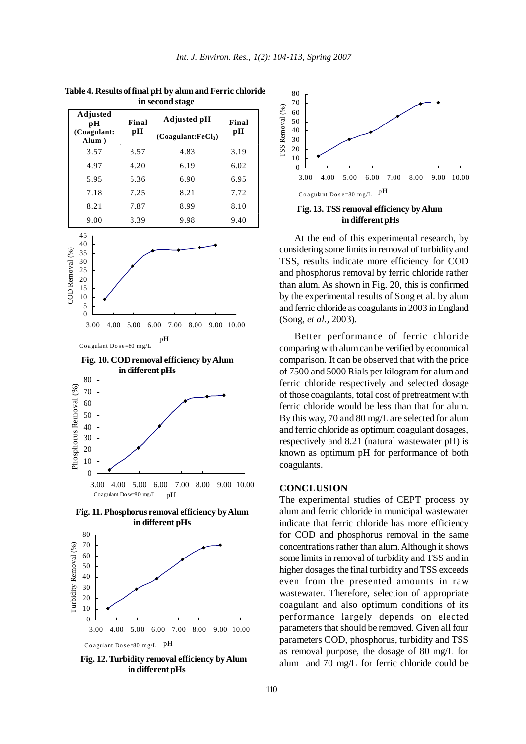

**Table 4. Results of final pH by alum and Ferric chloride in second stage**



Co agulant Do s e=80 mg/L

 **Fig. 10. COD removal efficiency by Alum in different pHs**



**Fig. 11. Phosphorus removal efficiency by Alum in different pHs**



Co agulant  $\text{Do} \, \text{se}=80 \, \text{mg/L}$  pH

 **Fig. 12. Turbidity removal efficiency by Alum in different pHs**



**Fig. 13. TSS removal efficiency by Alum in different pHs**

At the end of this experimental research, by considering some limits in removal of turbidity and TSS, results indicate more efficiency for COD and phosphorus removal by ferric chloride rather than alum. As shown in Fig. 20, this is confirmed by the experimental results of Song et al. by alum and ferric chloride as coagulants in 2003 in England (Song, *et al.,* 2003).

Better performance of ferric chloride comparing with alum can be verified by economical comparison. It can be observed that with the price of 7500 and 5000 Rials per kilogram for alum and ferric chloride respectively and selected dosage of those coagulants, total cost of pretreatment with ferric chloride would be less than that for alum. By this way, 70 and 80 mg/L are selected for alum and ferric chloride as optimum coagulant dosages, respectively and 8.21 (natural wastewater pH) is known as optimum pH for performance of both coagulants.

#### **CONCLUSION**

The experimental studies of CEPT process by alum and ferric chloride in municipal wastewater indicate that ferric chloride has more efficiency for COD and phosphorus removal in the same concentrations rather than alum. Although it shows some limits in removal of turbidity and TSS and in higher dosages the final turbidity and TSS exceeds even from the presented amounts in raw wastewater. Therefore, selection of appropriate coagulant and also optimum conditions of its performance largely depends on elected parameters that should be removed. Given all four parameters COD, phosphorus, turbidity and TSS as removal purpose, the dosage of 80 mg/L for alum and 70 mg/L for ferric chloride could be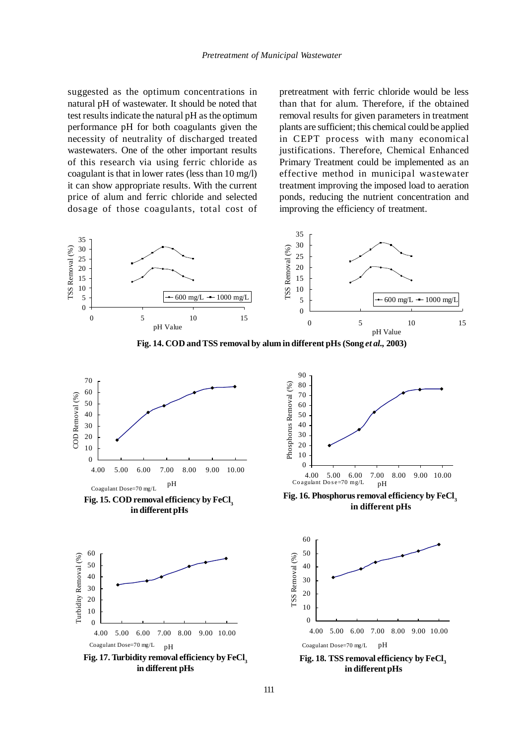suggested as the optimum concentrations in natural pH of wastewater. It should be noted that test results indicate the natural pH as the optimum performance pH for both coagulants given the necessity of neutrality of discharged treated wastewaters. One of the other important results of this research via using ferric chloride as coagulant is that in lower rates (less than 10 mg/l) it can show appropriate results. With the current price of alum and ferric chloride and selected dosage of those coagulants, total cost of pretreatment with ferric chloride would be less than that for alum. Therefore, if the obtained removal results for given parameters in treatment plants are sufficient; this chemical could be applied in CEPT process with many economical justifications. Therefore, Chemical Enhanced Primary Treatment could be implemented as an effective method in municipal wastewater treatment improving the imposed load to aeration ponds, reducing the nutrient concentration and improving the efficiency of treatment.







Fig. 17. Turbidity removal efficiency by FeCl<sub>2</sub> **in different pHs**



 **in different pHs**



Fig. 18. TSS removal efficiency by FeCl<sub>2</sub>  **in different pHs**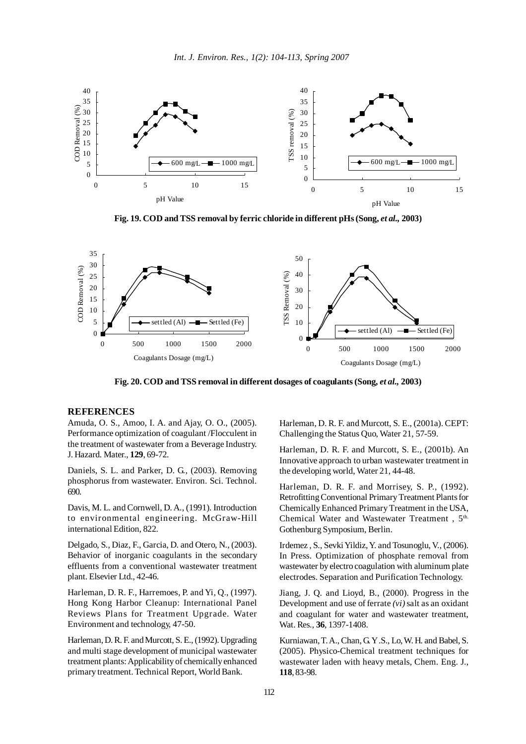

**Fig. 19. COD and TSS removal by ferric chloride in different pHs (Song,** *et al.,* **2003)**



**Fig. 20. COD and TSS removal in different dosages of coagulants (Song,** *et al.,* **2003)**

#### **REFERENCES**

Amuda, O. S., Amoo, I. A. and Ajay, O. O., (2005). Performance optimization of coagulant /Flocculent in the treatment of wastewater from a Beverage Industry. J. Hazard. Mater., **129**, 69-72.

Daniels, S. L. and Parker, D. G., (2003). Removing phosphorus from wastewater. Environ. Sci. Technol. 690.

Davis, M. L. and Cornwell, D. A., (1991). Introduction to environmental engineering. McGraw-Hill international Edition, 822.

Delgado, S., Diaz, F., Garcia, D. and Otero, N., (2003). Behavior of inorganic coagulants in the secondary effluents from a conventional wastewater treatment plant. Elsevier Ltd., 42-46.

Harleman, D. R. F., Harremoes, P. and Yi, Q., (1997). Hong Kong Harbor Cleanup: International Panel Reviews Plans for Treatment Upgrade. Water Environment and technology, 47-50.

Harleman, D. R. F. and Murcott, S. E., (1992). Upgrading and multi stage development of municipal wastewater treatment plants: Applicability of chemically enhanced primary treatment. Technical Report, World Bank.

Harleman, D. R. F. and Murcott, S. E., (2001a). CEPT: Challenging the Status Quo, Water 21, 57-59.

Harleman, D. R. F. and Murcott, S. E., (2001b). An Innovative approach to urban wastewater treatment in the developing world, Water 21, 44-48.

Harleman, D. R. F. and Morrisey, S. P., (1992). Retrofitting Conventional Primary Treatment Plants for Chemically Enhanced Primary Treatment in the USA, Chemical Water and Wastewater Treatment, 5<sup>th.</sup> Gothenburg Symposium, Berlin.

Irdemez , S., Sevki Yildiz, Y. and Tosunoglu, V., (2006). In Press. Optimization of phosphate removal from wastewater by electro coagulation with aluminum plate electrodes. Separation and Purification Technology.

Jiang, J. Q. and Lioyd, B., (2000). Progress in the Development and use of ferrate *(vi)* salt as an oxidant and coagulant for water and wastewater treatment, Wat. Res., **36**, 1397-1408.

Kurniawan, T. A., Chan, G. Y .S., Lo, W. H. and Babel, S. (2005). Physico-Chemical treatment techniques for wastewater laden with heavy metals, Chem. Eng. J., **118**, 83-98.